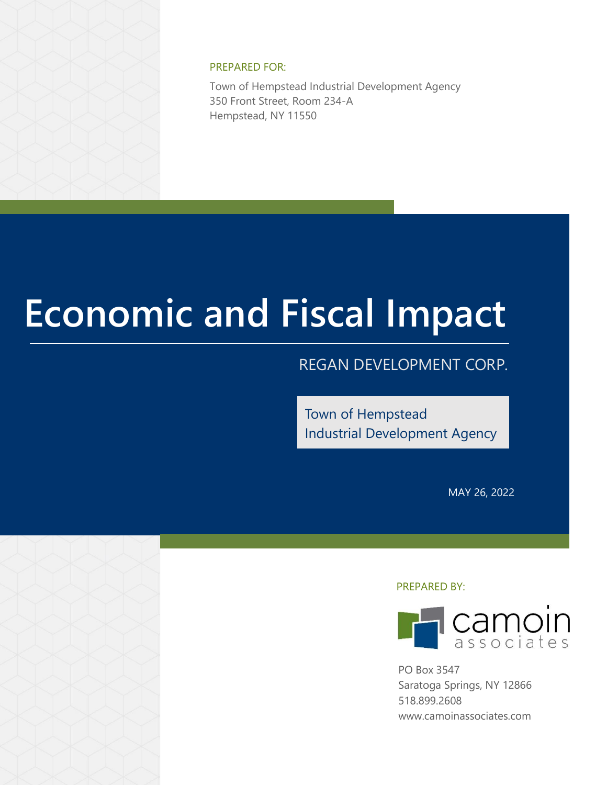

### PREPARED FOR:

Town of Hempstead Industrial Development Agency 350 Front Street, Room 234-A Hempstead, NY 11550

# **Economic and Fiscal Impact**

## REGAN DEVELOPMENT CORP.

Town of Hempstead Industrial Development Agency

MAY 26, 2022

#### PREPARED BY:



PO Box 3547 Saratoga Springs, NY 12866 518.899.2608 www.camoinassociates.com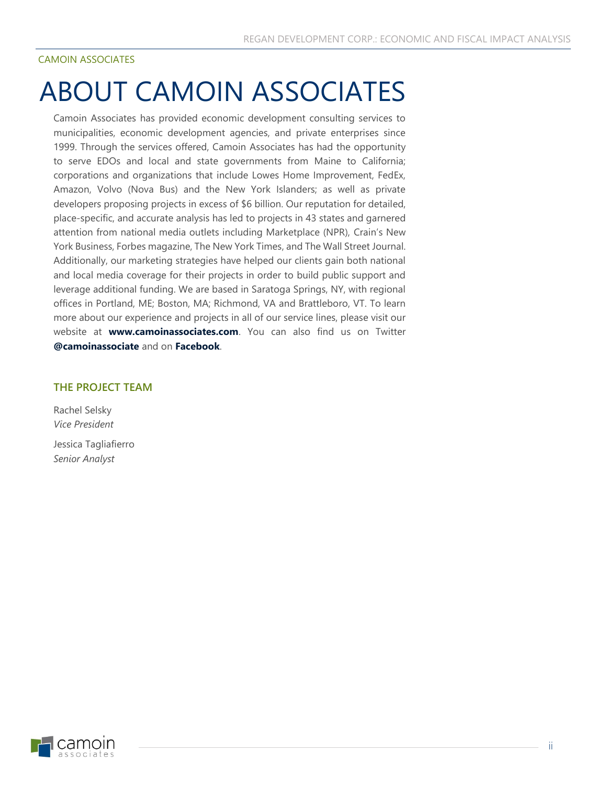## ABOUT CAMOIN ASSOCIATES

Camoin Associates has provided economic development consulting services to municipalities, economic development agencies, and private enterprises since 1999. Through the services offered, Camoin Associates has had the opportunity to serve EDOs and local and state governments from Maine to California; corporations and organizations that include Lowes Home Improvement, FedEx, Amazon, Volvo (Nova Bus) and the New York Islanders; as well as private developers proposing projects in excess of \$6 billion. Our reputation for detailed, place-specific, and accurate analysis has led to projects in 43 states and garnered attention from national media outlets including Marketplace (NPR), Crain's New York Business, Forbes magazine, The New York Times, and The Wall Street Journal. Additionally, our marketing strategies have helped our clients gain both national and local media coverage for their projects in order to build public support and leverage additional funding. We are based in Saratoga Springs, NY, with regional offices in Portland, ME; Boston, MA; Richmond, VA and Brattleboro, VT. To learn more about our experience and projects in all of our service lines, please visit our website at **[www.camoinassociates.com](http://www.camoinassociates.com/)**. You can also find us on Twitte[r](https://twitter.com/CamoinAssociate) **[@camoinassociate](https://twitter.com/CamoinAssociate)** and on **[Facebook](https://www.facebook.com/camoinassociates)**.

## **THE PROJECT TEAM**

Rachel Selsky *Vice President*

Jessica Tagliafierro *Senior Analyst*

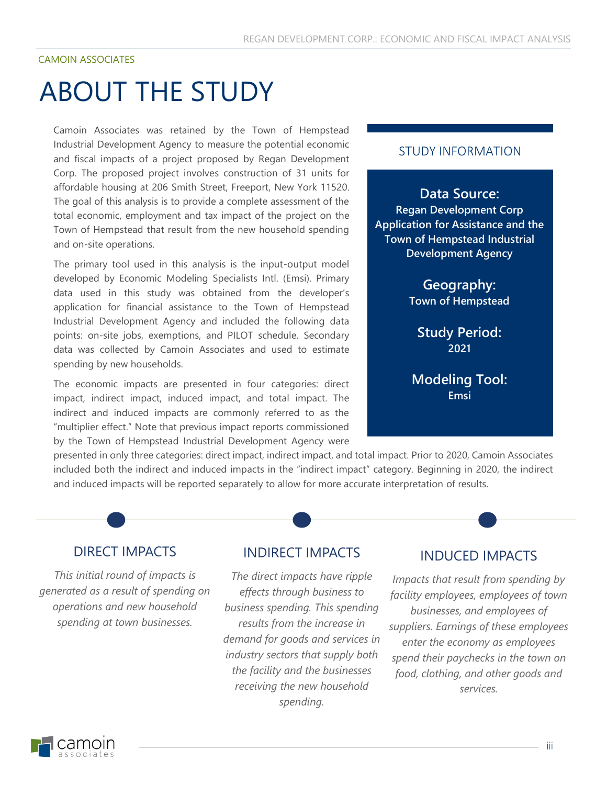## ABOUT THE STUDY

Camoin Associates was retained by the Town of Hempstead Industrial Development Agency to measure the potential economic and fiscal impacts of a project proposed by Regan Development Corp. The proposed project involves construction of 31 units for affordable housing at 206 Smith Street, Freeport, New York 11520. The goal of this analysis is to provide a complete assessment of the total economic, employment and tax impact of the project on the Town of Hempstead that result from the new household spending and on-site operations.

The primary tool used in this analysis is the input-output model developed by Economic Modeling Specialists Intl. (Emsi). Primary data used in this study was obtained from the developer's application for financial assistance to the Town of Hempstead Industrial Development Agency and included the following data points: on-site jobs, exemptions, and PILOT schedule. Secondary data was collected by Camoin Associates and used to estimate spending by new households.

The economic impacts are presented in four categories: direct impact, indirect impact, induced impact, and total impact. The indirect and induced impacts are commonly referred to as the "multiplier effect." Note that previous impact reports commissioned by the Town of Hempstead Industrial Development Agency were

presented in only three categories: direct impact, indirect impact, and total impact. Prior to 2020, Camoin Associates included both the indirect and induced impacts in the "indirect impact" category. Beginning in 2020, the indirect and induced impacts will be reported separately to allow for more accurate interpretation of results.

## DIRECT IMPACTS

*This initial round of impacts is generated as a result of spending on operations and new household spending at town businesses.* 

## INDIRECT IMPACTS

*The direct impacts have ripple effects through business to business spending. This spending results from the increase in demand for goods and services in industry sectors that supply both the facility and the businesses receiving the new household spending.*

## STUDY INFORMATION

**Data Source: Regan Development Corp Application for Assistance and the Town of Hempstead Industrial Development Agency**

> **Geography: Town of Hempstead**

**Study Period: 2021**

**Modeling Tool: Emsi**

## INDUCED IMPACTS

*Impacts that result from spending by facility employees, employees of town businesses, and employees of suppliers. Earnings of these employees enter the economy as employees spend their paychecks in the town on food, clothing, and other goods and services.*

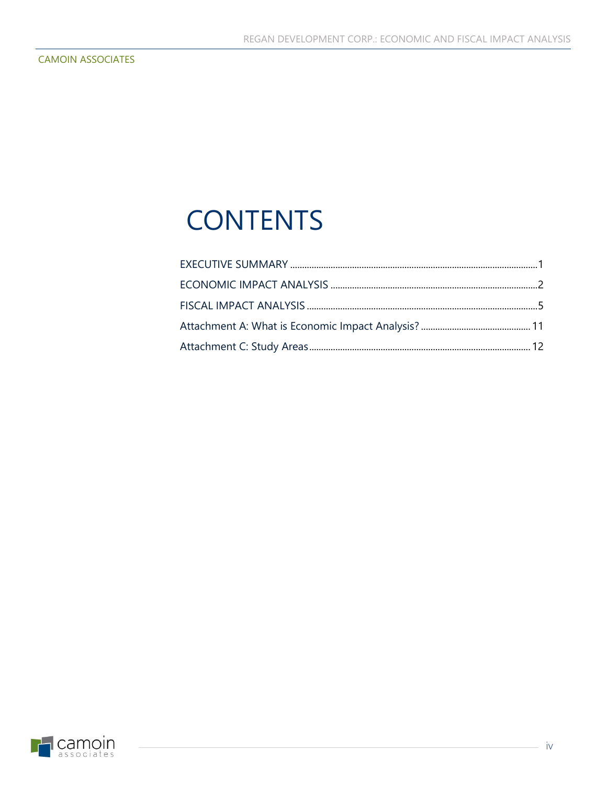# **CONTENTS**

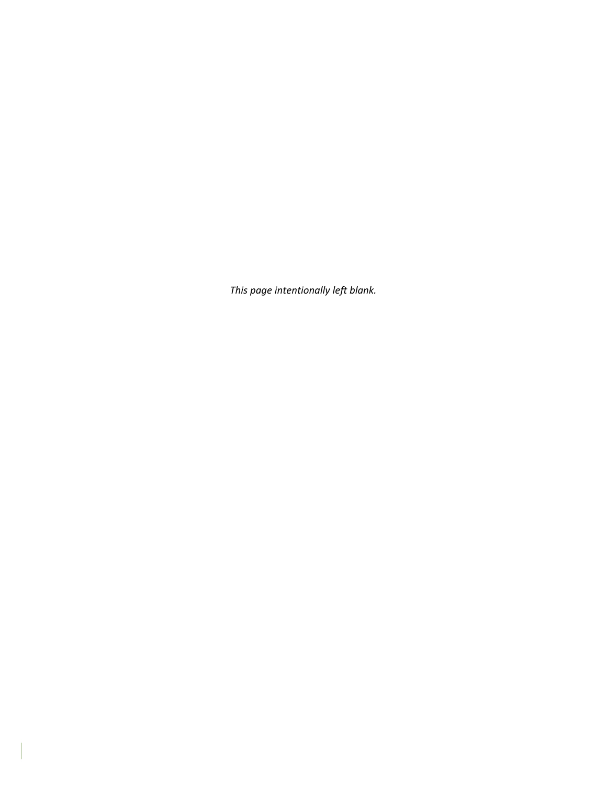*This page intentionally left blank.*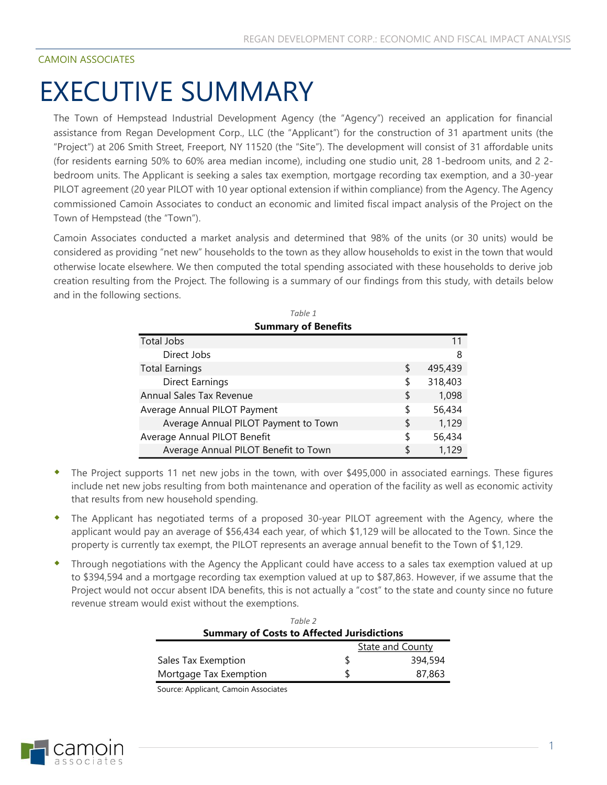## EXECUTIVE SUMMARY

The Town of Hempstead Industrial Development Agency (the "Agency") received an application for financial assistance from Regan Development Corp., LLC (the "Applicant") for the construction of 31 apartment units (the "Project") at 206 Smith Street, Freeport, NY 11520 (the "Site"). The development will consist of 31 affordable units (for residents earning 50% to 60% area median income), including one studio unit, 28 1-bedroom units, and 2 2 bedroom units. The Applicant is seeking a sales tax exemption, mortgage recording tax exemption, and a 30-year PILOT agreement (20 year PILOT with 10 year optional extension if within compliance) from the Agency. The Agency commissioned Camoin Associates to conduct an economic and limited fiscal impact analysis of the Project on the Town of Hempstead (the "Town").

Camoin Associates conducted a market analysis and determined that 98% of the units (or 30 units) would be considered as providing "net new" households to the town as they allow households to exist in the town that would otherwise locate elsewhere. We then computed the total spending associated with these households to derive job creation resulting from the Project. The following is a summary of our findings from this study, with details below and in the following sections.

| Table 1                              |    |         |  |  |
|--------------------------------------|----|---------|--|--|
| <b>Summary of Benefits</b>           |    |         |  |  |
| Total Jobs                           |    | 11      |  |  |
| Direct Jobs                          |    | 8       |  |  |
| <b>Total Earnings</b>                | \$ | 495,439 |  |  |
| <b>Direct Earnings</b>               | S  | 318,403 |  |  |
| Annual Sales Tax Revenue             | \$ | 1,098   |  |  |
| Average Annual PILOT Payment         | S  | 56,434  |  |  |
| Average Annual PILOT Payment to Town | \$ | 1,129   |  |  |
| Average Annual PILOT Benefit         | \$ | 56,434  |  |  |
| Average Annual PILOT Benefit to Town | \$ | 1,129   |  |  |

- The Project supports 11 net new jobs in the town, with over \$495,000 in associated earnings. These figures include net new jobs resulting from both maintenance and operation of the facility as well as economic activity that results from new household spending.
- The Applicant has negotiated terms of a proposed 30-year PILOT agreement with the Agency, where the applicant would pay an average of \$56,434 each year, of which \$1,129 will be allocated to the Town. Since the property is currently tax exempt, the PILOT represents an average annual benefit to the Town of \$1,129.
- Through negotiations with the Agency the Applicant could have access to a sales tax exemption valued at up to \$394,594 and a mortgage recording tax exemption valued at up to \$87,863. However, if we assume that the Project would not occur absent IDA benefits, this is not actually a "cost" to the state and county since no future revenue stream would exist without the exemptions.

| Table 2                                           |  |                         |  |  |  |  |
|---------------------------------------------------|--|-------------------------|--|--|--|--|
| <b>Summary of Costs to Affected Jurisdictions</b> |  |                         |  |  |  |  |
|                                                   |  | <b>State and County</b> |  |  |  |  |
| Sales Tax Exemption                               |  | 394,594                 |  |  |  |  |
| Mortgage Tax Exemption                            |  | 87,863                  |  |  |  |  |
|                                                   |  |                         |  |  |  |  |

Source: Applicant, Camoin Associates

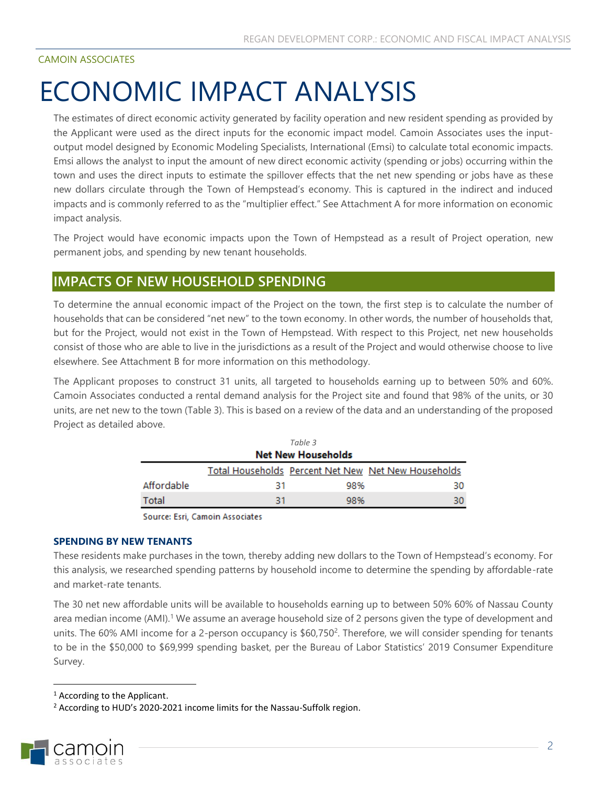## ECONOMIC IMPACT ANALYSIS

The estimates of direct economic activity generated by facility operation and new resident spending as provided by the Applicant were used as the direct inputs for the economic impact model. Camoin Associates uses the inputoutput model designed by Economic Modeling Specialists, International (Emsi) to calculate total economic impacts. Emsi allows the analyst to input the amount of new direct economic activity (spending or jobs) occurring within the town and uses the direct inputs to estimate the spillover effects that the net new spending or jobs have as these new dollars circulate through the Town of Hempstead's economy. This is captured in the indirect and induced impacts and is commonly referred to as the "multiplier effect." See Attachment A for more information on economic impact analysis.

The Project would have economic impacts upon the Town of Hempstead as a result of Project operation, new permanent jobs, and spending by new tenant households.

## **IMPACTS OF NEW HOUSEHOLD SPENDING**

To determine the annual economic impact of the Project on the town, the first step is to calculate the number of households that can be considered "net new" to the town economy. In other words, the number of households that, but for the Project, would not exist in the Town of Hempstead. With respect to this Project, net new households consist of those who are able to live in the jurisdictions as a result of the Project and would otherwise choose to live elsewhere. See Attachment B for more information on this methodology.

<span id="page-6-0"></span>The Applicant proposes to construct 31 units, all targeted to households earning up to between 50% and 60%. Camoin Associates conducted a rental demand analysis for the Project site and found that 98% of the units, or 30 units, are net new to the town [\(Table 3\)](#page-6-0). This is based on a review of the data and an understanding of the proposed Project as detailed above.

| Table 3                   |    |     |                                                     |  |  |  |  |  |
|---------------------------|----|-----|-----------------------------------------------------|--|--|--|--|--|
| <b>Net New Households</b> |    |     |                                                     |  |  |  |  |  |
|                           |    |     | Total Households Percent Net New Net New Households |  |  |  |  |  |
| Affordable                | 31 | 98% | 30                                                  |  |  |  |  |  |
| Total                     | 31 | 98% | 30                                                  |  |  |  |  |  |
|                           |    |     |                                                     |  |  |  |  |  |

Source: Esri, Camoin Associates

#### **SPENDING BY NEW TENANTS**

These residents make purchases in the town, thereby adding new dollars to the Town of Hempstead's economy. For this analysis, we researched spending patterns by household income to determine the spending by affordable-rate and market-rate tenants.

The 30 net new affordable units will be available to households earning up to between 50% 60% of Nassau County area median income (AMI).<sup>1</sup> We assume an average household size of 2 persons given the type of development and units. The 60% AMI income for a 2-person occupancy is \$60,750<sup>2</sup>. Therefore, we will consider spending for tenants to be in the \$50,000 to \$69,999 spending basket, per the Bureau of Labor Statistics' 2019 Consumer Expenditure Survey.

<sup>&</sup>lt;sup>2</sup> According to HUD's 2020-2021 income limits for the Nassau-Suffolk region.



 $1$  According to the Applicant.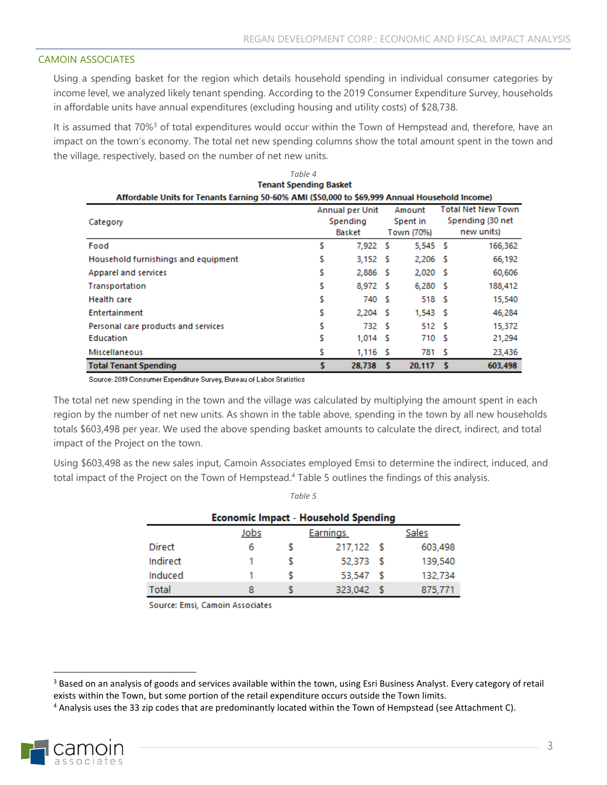Using a spending basket for the region which details household spending in individual consumer categories by income level, we analyzed likely tenant spending. According to the 2019 Consumer Expenditure Survey, households in affordable units have annual expenditures (excluding housing and utility costs) of \$28,738.

It is assumed that 70%<sup>3</sup> of total expenditures would occur within the Town of Hempstead and, therefore, have an impact on the town's economy. The total net new spending columns show the total amount spent in the town and the village, respectively, based on the number of net new units.

| Table 4<br>Tenant Spending Basket                                                              |   |                                              |     |            |     |         |  |  |  |  |  |                                  |  |                                                             |
|------------------------------------------------------------------------------------------------|---|----------------------------------------------|-----|------------|-----|---------|--|--|--|--|--|----------------------------------|--|-------------------------------------------------------------|
| Affordable Units for Tenants Earning 50-60% AMI (\$50,000 to \$69,999 Annual Household Income) |   |                                              |     |            |     |         |  |  |  |  |  |                                  |  |                                                             |
| Category                                                                                       |   | Annual per Unit<br>Spending<br><b>Basket</b> |     |            |     |         |  |  |  |  |  | Amount<br>Spent in<br>Town (70%) |  | <b>Total Net New Town</b><br>Spending (30 net<br>new units) |
| Food                                                                                           | s | 7,922 S                                      |     | 5,545S     |     | 166,362 |  |  |  |  |  |                                  |  |                                                             |
| Household furnishings and equipment                                                            | s | $3,152$ \$                                   |     | $2,206$ \$ |     | 66,192  |  |  |  |  |  |                                  |  |                                                             |
| <b>Apparel and services</b>                                                                    | s | 2,886 \$                                     |     | 2,020 S    |     | 60,606  |  |  |  |  |  |                                  |  |                                                             |
| Transportation                                                                                 | s | 8,972 S                                      |     | 6,280      | - s | 188,412 |  |  |  |  |  |                                  |  |                                                             |
| <b>Health care</b>                                                                             | s | 740 S                                        |     | 518 S      |     | 15,540  |  |  |  |  |  |                                  |  |                                                             |
| Entertainment                                                                                  | s | 2,204                                        | - S | 1,543S     |     | 46,284  |  |  |  |  |  |                                  |  |                                                             |
| Personal care products and services                                                            | S | 732 S                                        |     | 512 S      |     | 15,372  |  |  |  |  |  |                                  |  |                                                             |
| <b>Education</b>                                                                               | s | $1,014$ S                                    |     | 710 S      |     | 21,294  |  |  |  |  |  |                                  |  |                                                             |
| Miscellaneous                                                                                  |   | $1,116$ S                                    |     | 781        | -S  | 23,436  |  |  |  |  |  |                                  |  |                                                             |
| <b>Total Tenant Spending</b>                                                                   |   | 28,738                                       |     | 20,117     | s   | 603,498 |  |  |  |  |  |                                  |  |                                                             |

Source: 2019 Consumer Expenditure Survey, Bureau of Labor Statistics

The total net new spending in the town and the village was calculated by multiplying the amount spent in each region by the number of net new units. As shown in the table above, spending in the town by all new households totals \$603,498 per year. We used the above spending basket amounts to calculate the direct, indirect, and total impact of the Project on the town.

<span id="page-7-0"></span>Using \$603,498 as the new sales input, Camoin Associates employed Emsi to determine the indirect, induced, and total impact of the Project on the Town of Hempstead. <sup>4</sup> [Table 5](#page-7-0) outlines the findings of this analysis.

*Table 5*

| <b>Economic Impact - Household Spending</b> |             |  |                 |      |         |  |  |  |
|---------------------------------------------|-------------|--|-----------------|------|---------|--|--|--|
|                                             | <u>Jobs</u> |  | <b>Earnings</b> |      | Sales   |  |  |  |
| Direct                                      | 6           |  | 217,122 \$      |      | 603,498 |  |  |  |
| Indirect                                    |             |  | 52,373          | - \$ | 139,540 |  |  |  |
| Induced                                     |             |  | 53,547          |      | 132,734 |  |  |  |
| Total                                       |             |  | 323,042         |      | 875,771 |  |  |  |

Source: Emsi, Camoin Associates

<sup>4</sup> Analysis uses the 33 zip codes that are predominantly located within the Town of Hempstead (see Attachment C).



<sup>&</sup>lt;sup>3</sup> Based on an analysis of goods and services available within the town, using Esri Business Analyst. Every category of retail exists within the Town, but some portion of the retail expenditure occurs outside the Town limits.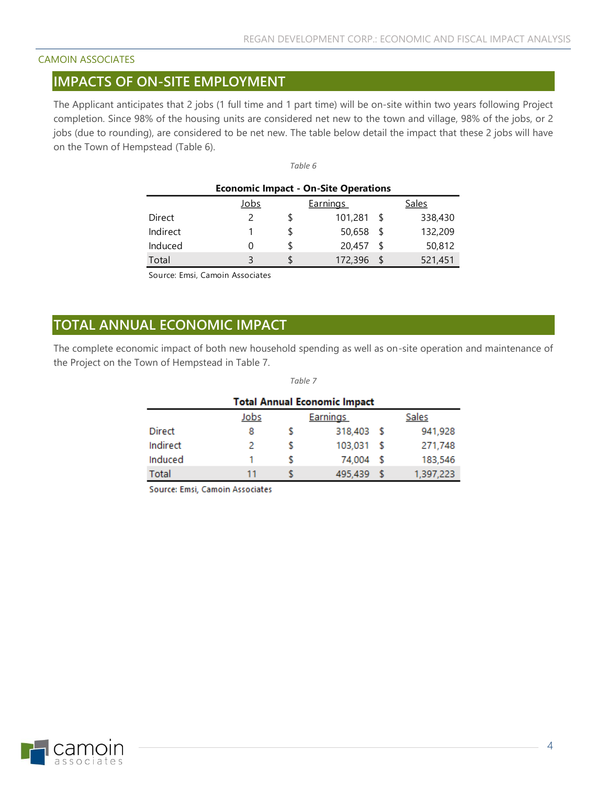## **IMPACTS OF ON-SITE EMPLOYMENT**

<span id="page-8-0"></span>The Applicant anticipates that 2 jobs (1 full time and 1 part time) will be on-site within two years following Project completion. Since 98% of the housing units are considered net new to the town and village, 98% of the jobs, or 2 jobs (due to rounding), are considered to be net new. The table below detail the impact that these 2 jobs will have on the Town of Hempstead [\(Table 6\)](#page-8-0).

*Table 6*

| <b>Economic Impact - On-Site Operations</b> |             |    |                 |      |         |  |  |
|---------------------------------------------|-------------|----|-----------------|------|---------|--|--|
|                                             | <u>Jobs</u> |    | <b>Earnings</b> |      | Sales   |  |  |
| Direct                                      |             | \$ | 101,281         |      | 338,430 |  |  |
| Indirect                                    |             |    | 50,658          | - \$ | 132,209 |  |  |
| Induced                                     | O           | S  | 20,457          |      | 50,812  |  |  |
| Total                                       | ς           |    | 172,396         |      | 521,451 |  |  |

Source: Emsi, Camoin Associates

## **TOTAL ANNUAL ECONOMIC IMPACT**

<span id="page-8-1"></span>The complete economic impact of both new household spending as well as on-site operation and maintenance of the Project on the Town of Hempstead in [Table 7.](#page-8-1)

#### *Table 7*

| <b>Total Annual Economic Impact</b> |             |          |         |      |           |  |  |
|-------------------------------------|-------------|----------|---------|------|-----------|--|--|
|                                     | <u>Jobs</u> | Earnings |         |      | Sales     |  |  |
| Direct                              | 8           |          | 318,403 | - \$ | 941,928   |  |  |
| Indirect                            |             |          | 103,031 |      | 271,748   |  |  |
| Induced                             |             |          | 74,004  | -8   | 183,546   |  |  |
| Total                               | 11          |          | 495,439 |      | 1,397,223 |  |  |

Source: Emsi, Camoin Associates

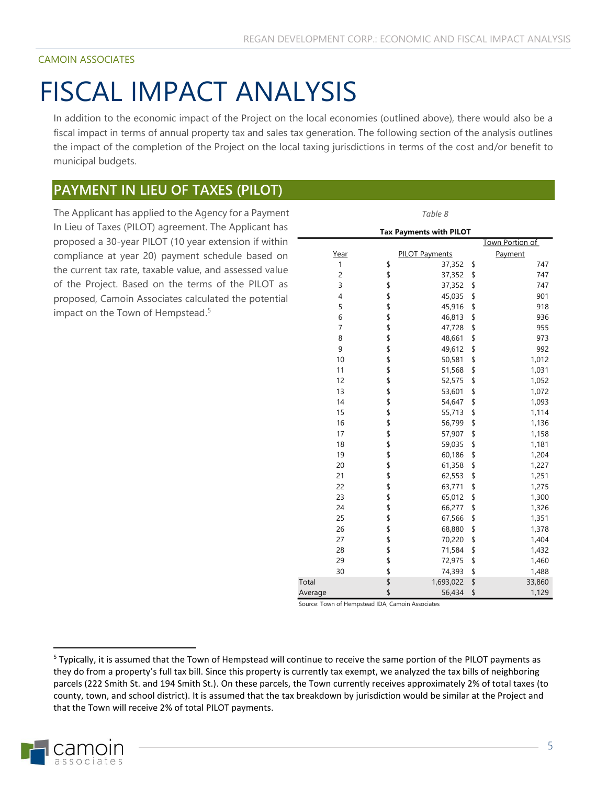## FISCAL IMPACT ANALYSIS

In addition to the economic impact of the Project on the local economies (outlined above), there would also be a fiscal impact in terms of annual property tax and sales tax generation. The following section of the analysis outlines the impact of the completion of the Project on the local taxing jurisdictions in terms of the cost and/or benefit to municipal budgets.

## **PAYMENT IN LIEU OF TAXES (PILOT)**

The Applicant has applied to the Agency for a Payment In Lieu of Taxes (PILOT) agreement. The Applicant has proposed a 30-year PILOT (10 year extension if within compliance at year 20) payment schedule based on the current tax rate, taxable value, and assessed value of the Project. Based on the terms of the PILOT as proposed, Camoin Associates calculated the potential impact on the Town of Hempstead.<sup>5</sup>

|                                | Table 8        |    |                       |    |                 |  |  |  |
|--------------------------------|----------------|----|-----------------------|----|-----------------|--|--|--|
| <b>Tax Payments with PILOT</b> |                |    |                       |    |                 |  |  |  |
|                                |                |    |                       |    | Town Portion of |  |  |  |
|                                | Year           |    | <b>PILOT Payments</b> |    | Payment         |  |  |  |
|                                | 1              | \$ | 37,352                | \$ | 747             |  |  |  |
|                                | $\overline{c}$ |    | 37,352                | \$ | 747             |  |  |  |
|                                | 3              |    | 37,352                | \$ | 747             |  |  |  |
|                                | 4              |    | 45,035                | \$ | 901             |  |  |  |
|                                | 5              |    | 45,916                | \$ | 918             |  |  |  |
|                                | 6              |    | 46,813                | \$ | 936             |  |  |  |
|                                | $\overline{7}$ |    | 47,728                | \$ | 955             |  |  |  |
|                                | 8              |    | 48,661                | \$ | 973             |  |  |  |
|                                | 9              |    | 49,612                | \$ | 992             |  |  |  |
|                                | 10             |    | 50,581                | \$ | 1,012           |  |  |  |
|                                | 11             |    | 51,568                | \$ | 1,031           |  |  |  |
|                                | 12             |    | 52,575                | \$ | 1,052           |  |  |  |
|                                | 13             |    | 53,601                | \$ | 1,072           |  |  |  |
|                                | 14             |    | 54,647                | \$ | 1,093           |  |  |  |
|                                | 15             |    | 55,713                | \$ | 1,114           |  |  |  |
|                                | 16             |    | 56,799                | \$ | 1,136           |  |  |  |
|                                | 17             |    | 57,907                | \$ | 1,158           |  |  |  |
|                                | 18             |    | 59,035                | \$ | 1,181           |  |  |  |
|                                | 19             |    | 60,186                | \$ | 1,204           |  |  |  |
|                                | 20             |    | 61,358                | \$ | 1,227           |  |  |  |
|                                | 21             |    | 62,553                | \$ | 1,251           |  |  |  |
|                                | 22             |    | 63,771                | \$ | 1,275           |  |  |  |
|                                | 23             |    | 65,012                | \$ | 1,300           |  |  |  |
|                                | 24             |    | 66,277                | \$ | 1,326           |  |  |  |
|                                | 25             |    | 67,566                | \$ | 1,351           |  |  |  |
|                                | 26             |    | 68,880                | \$ | 1,378           |  |  |  |
|                                | 27             |    | 70,220                | \$ | 1,404           |  |  |  |
|                                | 28             |    | 71,584                | \$ | 1,432           |  |  |  |
|                                | 29             |    | 72,975                | \$ | 1,460           |  |  |  |
|                                | 30             |    | 74,393                | \$ | 1,488           |  |  |  |
| Total                          |                | \$ | 1,693,022             | \$ | 33,860          |  |  |  |
| Average                        |                | \$ | 56,434                | \$ | 1,129           |  |  |  |

<sup>&</sup>lt;sup>5</sup> Typically, it is assumed that the Town of Hempstead will continue to receive the same portion of the PILOT payments as they do from a property's full tax bill. Since this property is currently tax exempt, we analyzed the tax bills of neighboring parcels (222 Smith St. and 194 Smith St.). On these parcels, the Town currently receives approximately 2% of total taxes (to county, town, and school district). It is assumed that the tax breakdown by jurisdiction would be similar at the Project and that the Town will receive 2% of total PILOT payments.

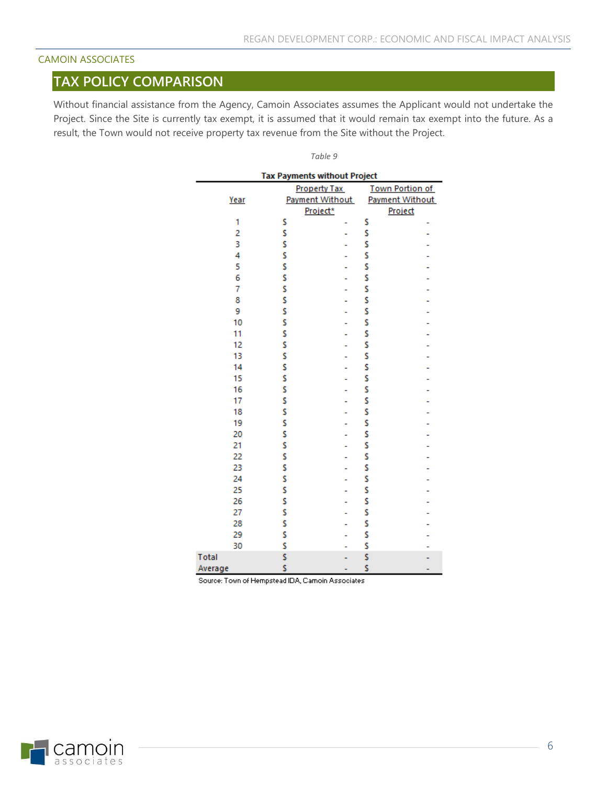## **TAX POLICY COMPARISON**

Without financial assistance from the Agency, Camoin Associates assumes the Applicant would not undertake the Project. Since the Site is currently tax exempt, it is assumed that it would remain tax exempt into the future. As a result, the Town would not receive property tax revenue from the Site without the Project.

#### *Table 9*

| Tax Payments without Project |                |                     |  |                        |  |  |  |  |
|------------------------------|----------------|---------------------|--|------------------------|--|--|--|--|
|                              |                | <b>Property Tax</b> |  | <b>Town Portion of</b> |  |  |  |  |
|                              | Year           | Payment Without     |  | Payment Without        |  |  |  |  |
|                              |                | Project*            |  | Project                |  |  |  |  |
|                              | 1              | \$                  |  | \$                     |  |  |  |  |
|                              | 2              | \$                  |  | \$                     |  |  |  |  |
|                              | 3              | \$                  |  | \$                     |  |  |  |  |
|                              | 4              | \$                  |  | \$                     |  |  |  |  |
|                              | 5              | \$                  |  | \$                     |  |  |  |  |
|                              | 6              | \$                  |  | \$                     |  |  |  |  |
|                              | $\overline{7}$ | \$                  |  | \$                     |  |  |  |  |
|                              | 8              | \$                  |  | \$                     |  |  |  |  |
|                              | 9              | \$                  |  | \$                     |  |  |  |  |
|                              | 10             | \$                  |  | \$                     |  |  |  |  |
|                              | 11             | Ś                   |  | \$                     |  |  |  |  |
|                              | 12             | \$                  |  | \$                     |  |  |  |  |
|                              | 13             | \$                  |  | \$                     |  |  |  |  |
|                              | 14             | \$                  |  | \$                     |  |  |  |  |
|                              | 15             | \$                  |  | \$                     |  |  |  |  |
|                              | 16             | \$                  |  | \$                     |  |  |  |  |
|                              | 17             | \$                  |  | \$                     |  |  |  |  |
|                              | 18             | \$                  |  | \$                     |  |  |  |  |
|                              | 19             | \$                  |  | \$                     |  |  |  |  |
|                              | 20             | \$                  |  | \$                     |  |  |  |  |
|                              | 21             | \$                  |  | \$                     |  |  |  |  |
|                              | 22             | \$                  |  | \$                     |  |  |  |  |
|                              | 23             | \$                  |  | \$                     |  |  |  |  |
|                              | 24             | \$                  |  | \$                     |  |  |  |  |
|                              | 25             | \$                  |  | \$                     |  |  |  |  |
|                              | 26             | \$                  |  | \$                     |  |  |  |  |
|                              | 27             | \$                  |  | \$                     |  |  |  |  |
|                              | 28             | \$                  |  | \$                     |  |  |  |  |
|                              | 29             | \$                  |  | \$                     |  |  |  |  |
|                              | 30             | \$                  |  | \$                     |  |  |  |  |
| <b>Total</b>                 |                | s<br>s              |  | \$                     |  |  |  |  |
| Average                      |                |                     |  | Ś                      |  |  |  |  |

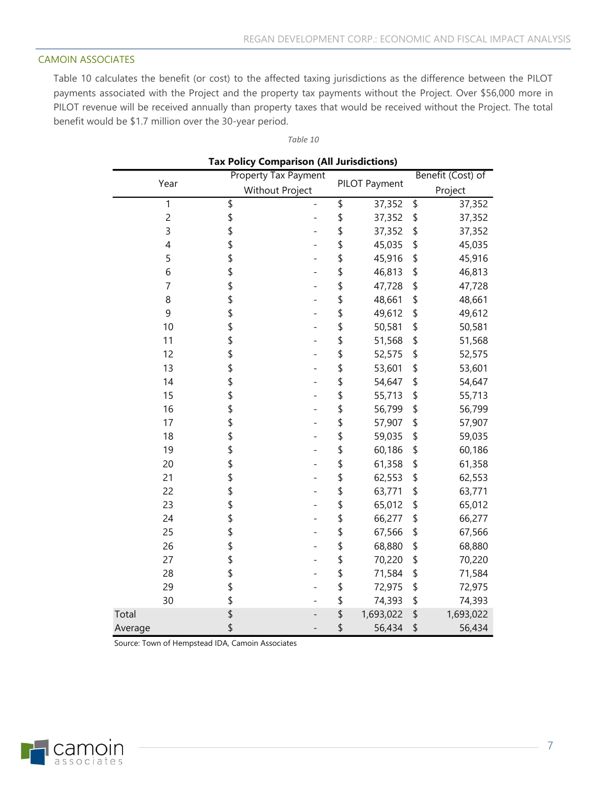<span id="page-11-0"></span>[Table 10](#page-11-0) calculates the benefit (or cost) to the affected taxing jurisdictions as the difference between the PILOT payments associated with the Project and the property tax payments without the Project. Over \$56,000 more in PILOT revenue will be received annually than property taxes that would be received without the Project. The total benefit would be \$1.7 million over the 30-year period.

*Table 10*

| <b>Tax Policy Comparison (All Jurisdictions)</b> |                             |    |                          |    |                   |    |           |  |
|--------------------------------------------------|-----------------------------|----|--------------------------|----|-------------------|----|-----------|--|
|                                                  | <b>Property Tax Payment</b> |    | PILOT Payment            |    | Benefit (Cost) of |    |           |  |
|                                                  | Year                        |    | Without Project          |    |                   |    | Project   |  |
|                                                  | $\mathbf{1}$                | \$ | $\overline{a}$           | \$ | 37,352            | \$ | 37,352    |  |
|                                                  | $\overline{c}$              | \$ | $\overline{a}$           | \$ | 37,352            | \$ | 37,352    |  |
|                                                  | 3                           | \$ |                          | \$ | 37,352            | \$ | 37,352    |  |
|                                                  | 4                           | \$ |                          | \$ | 45,035            | \$ | 45,035    |  |
|                                                  | 5                           | \$ |                          | \$ | 45,916            | \$ | 45,916    |  |
|                                                  | 6                           | \$ |                          | \$ | 46,813            | \$ | 46,813    |  |
|                                                  | $\overline{7}$              | \$ | $\overline{a}$           | \$ | 47,728            | \$ | 47,728    |  |
|                                                  | 8                           | \$ |                          | \$ | 48,661            | \$ | 48,661    |  |
|                                                  | 9                           | \$ |                          | \$ | 49,612            | \$ | 49,612    |  |
|                                                  | 10                          | \$ |                          | \$ | 50,581            | \$ | 50,581    |  |
|                                                  | 11                          | \$ |                          | \$ | 51,568            | \$ | 51,568    |  |
|                                                  | 12                          | \$ |                          | \$ | 52,575            | \$ | 52,575    |  |
|                                                  | 13                          | \$ |                          | \$ | 53,601            | \$ | 53,601    |  |
|                                                  | 14                          | \$ | $\overline{a}$           | \$ | 54,647            | \$ | 54,647    |  |
|                                                  | 15                          | \$ | $\overline{a}$           | \$ | 55,713            | \$ | 55,713    |  |
|                                                  | 16                          | \$ | $\overline{a}$           | \$ | 56,799            | \$ | 56,799    |  |
|                                                  | 17                          | \$ | $\overline{\phantom{0}}$ | \$ | 57,907            | \$ | 57,907    |  |
|                                                  | 18                          | \$ | -                        | \$ | 59,035            | \$ | 59,035    |  |
|                                                  | 19                          | \$ |                          | \$ | 60,186            | \$ | 60,186    |  |
|                                                  | 20                          | \$ |                          | \$ | 61,358            | \$ | 61,358    |  |
|                                                  | 21                          | \$ |                          | \$ | 62,553            | \$ | 62,553    |  |
|                                                  | 22                          | \$ |                          | \$ | 63,771            | \$ | 63,771    |  |
|                                                  | 23                          | \$ |                          | \$ | 65,012            | \$ | 65,012    |  |
|                                                  | 24                          | \$ |                          | \$ | 66,277            | \$ | 66,277    |  |
|                                                  | 25                          | \$ |                          | \$ | 67,566            | \$ | 67,566    |  |
|                                                  | 26                          | \$ |                          | \$ | 68,880            | \$ | 68,880    |  |
|                                                  | 27                          | \$ |                          | \$ | 70,220            | \$ | 70,220    |  |
|                                                  | 28                          | \$ |                          | \$ | 71,584            | \$ | 71,584    |  |
|                                                  | 29                          | \$ |                          | \$ | 72,975            | \$ | 72,975    |  |
|                                                  | 30                          | \$ |                          | \$ | 74,393            | \$ | 74,393    |  |
| Total                                            |                             | \$ |                          | \$ | 1,693,022         | \$ | 1,693,022 |  |
| Average                                          |                             | \$ | $\overline{\phantom{0}}$ | \$ | 56,434            | \$ | 56,434    |  |

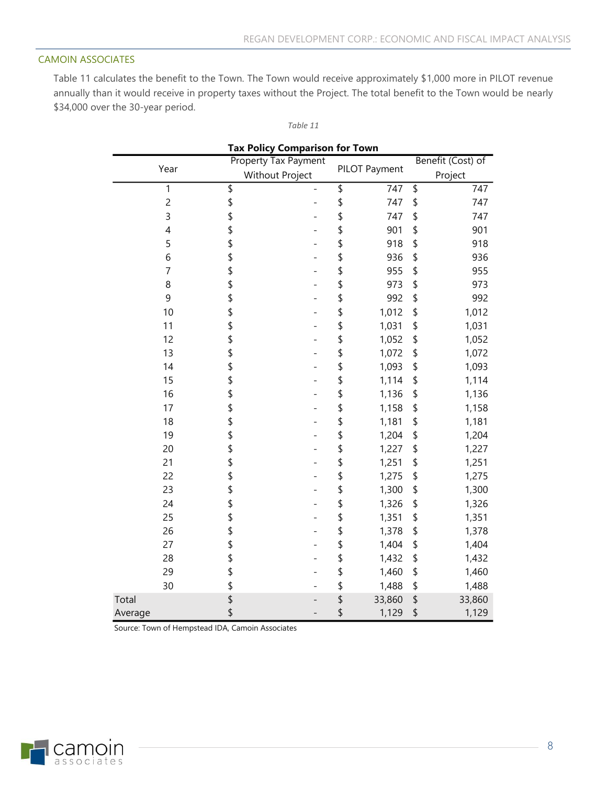<span id="page-12-0"></span>[Table 11](#page-12-0) calculates the benefit to the Town. The Town would receive approximately \$1,000 more in PILOT revenue annually than it would receive in property taxes without the Project. The total benefit to the Town would be nearly \$34,000 over the 30-year period.

| <b>Tax Policy Comparison for Town</b> |                |    |                             |    |               |                   |         |  |  |
|---------------------------------------|----------------|----|-----------------------------|----|---------------|-------------------|---------|--|--|
|                                       |                |    | <b>Property Tax Payment</b> |    |               | Benefit (Cost) of |         |  |  |
|                                       | Year           |    | <b>Without Project</b>      |    | PILOT Payment |                   | Project |  |  |
|                                       | $\mathbf{1}$   | \$ |                             | \$ | 747           | \$                | 747     |  |  |
|                                       | $\overline{c}$ | \$ |                             | \$ | 747           | \$                | 747     |  |  |
|                                       | 3              | \$ |                             | \$ | 747           | \$                | 747     |  |  |
|                                       | 4              | \$ |                             | \$ | 901           | \$                | 901     |  |  |
|                                       | 5              | \$ | $\overline{a}$              | \$ | 918           | \$                | 918     |  |  |
|                                       | 6              | \$ | $\overline{a}$              | \$ | 936           | \$                | 936     |  |  |
|                                       | $\overline{7}$ | \$ |                             | \$ | 955           | \$                | 955     |  |  |
|                                       | 8              | \$ | $\overline{\phantom{0}}$    | \$ | 973           | \$                | 973     |  |  |
|                                       | 9              | \$ |                             | \$ | 992           | \$                | 992     |  |  |
|                                       | 10             | \$ |                             | \$ | 1,012         | \$                | 1,012   |  |  |
|                                       | 11             | \$ |                             | \$ | 1,031         | \$                | 1,031   |  |  |
|                                       | 12             | \$ |                             | \$ | 1,052         | \$                | 1,052   |  |  |
|                                       | 13             | \$ |                             | \$ | 1,072         | \$                | 1,072   |  |  |
|                                       | 14             | \$ |                             | \$ | 1,093         | \$                | 1,093   |  |  |
|                                       | 15             | \$ |                             | \$ | 1,114         | \$                | 1,114   |  |  |
|                                       | 16             | \$ |                             | \$ | 1,136         | \$                | 1,136   |  |  |
|                                       | 17             | \$ |                             | \$ | 1,158         | \$                | 1,158   |  |  |
|                                       | 18             | \$ | $\overline{a}$              | \$ | 1,181         | \$                | 1,181   |  |  |
|                                       | 19             | \$ | $\overline{\phantom{0}}$    | \$ | 1,204         | \$                | 1,204   |  |  |
|                                       | 20             | \$ | $\overline{a}$              | \$ | 1,227         | \$                | 1,227   |  |  |
|                                       | 21             | \$ | $\overline{a}$              | \$ | 1,251         | \$                | 1,251   |  |  |
|                                       | 22             | \$ |                             | \$ | 1,275         | \$                | 1,275   |  |  |
|                                       | 23             | \$ |                             | \$ | 1,300         | \$                | 1,300   |  |  |
|                                       | 24             | \$ |                             | \$ | 1,326         | \$                | 1,326   |  |  |
|                                       | 25             | \$ |                             | \$ | 1,351         | \$                | 1,351   |  |  |
|                                       | 26             | \$ |                             | \$ | 1,378         | \$                | 1,378   |  |  |
|                                       | 27             | \$ |                             | \$ | 1,404         | \$                | 1,404   |  |  |
|                                       | 28             | \$ |                             | \$ | 1,432         | \$                | 1,432   |  |  |
|                                       | 29             | \$ |                             | \$ | 1,460         | \$                | 1,460   |  |  |
|                                       | 30             | \$ | $\overline{\phantom{0}}$    | \$ | 1,488         | \$                | 1,488   |  |  |
| Total                                 |                | \$ |                             | \$ | 33,860        | \$                | 33,860  |  |  |
| Average                               |                | \$ |                             | \$ | 1,129         | \$                | 1,129   |  |  |

*Table 11*

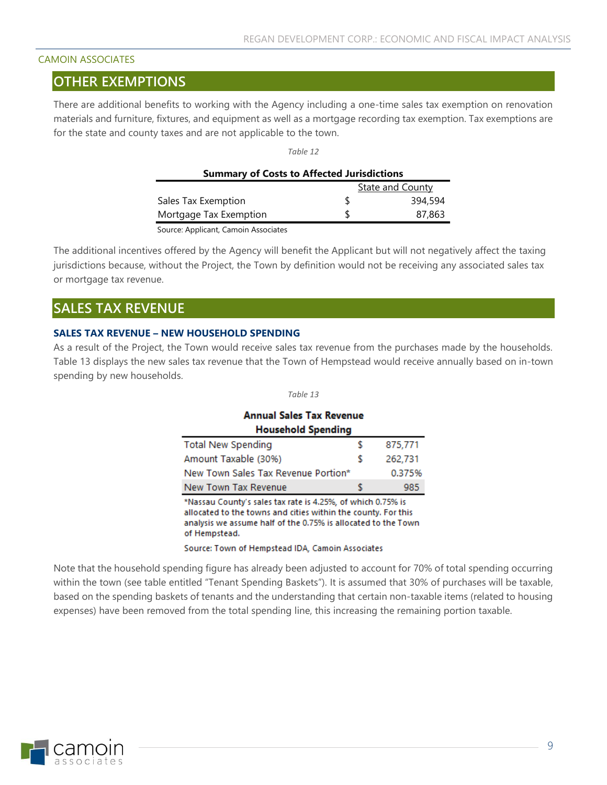## **OTHER EXEMPTIONS**

There are additional benefits to working with the Agency including a one-time sales tax exemption on renovation materials and furniture, fixtures, and equipment as well as a mortgage recording tax exemption. Tax exemptions are for the state and county taxes and are not applicable to the town.

#### *Table 12*

| <b>Summary of Costs to Affected Jurisdictions</b> |                         |         |  |  |
|---------------------------------------------------|-------------------------|---------|--|--|
|                                                   | <b>State and County</b> |         |  |  |
| Sales Tax Exemption                               | SЬ.                     | 394,594 |  |  |
| Mortgage Tax Exemption                            | ፍ                       | 87,863  |  |  |
|                                                   |                         |         |  |  |

Source: Applicant, Camoin Associates

The additional incentives offered by the Agency will benefit the Applicant but will not negatively affect the taxing jurisdictions because, without the Project, the Town by definition would not be receiving any associated sales tax or mortgage tax revenue.

## **SALES TAX REVENUE**

### **SALES TAX REVENUE – NEW HOUSEHOLD SPENDING**

<span id="page-13-0"></span>As a result of the Project, the Town would receive sales tax revenue from the purchases made by the households. [Table 13](#page-13-0) displays the new sales tax revenue that the Town of Hempstead would receive annually based on in-town spending by new households.

| <br>×<br>ı<br>×<br>×<br>٠ |
|---------------------------|
|---------------------------|

#### **Annual Sales Tax Revenue Household Spending**

| <b>Total New Spending</b>                                                                                                               |   | 875,771 |  |  |
|-----------------------------------------------------------------------------------------------------------------------------------------|---|---------|--|--|
| Amount Taxable (30%)                                                                                                                    | S | 262.731 |  |  |
| New Town Sales Tax Revenue Portion*                                                                                                     |   | 0.375%  |  |  |
| New Town Tax Revenue                                                                                                                    | S | 985     |  |  |
| *Nassau County's sales tax rate is 4.25%, of which 0.75% is<br>alla ankani ka kisa karrupa ang kiking rrikisin kisa parrupa.  Dan kisip |   |         |  |  |

allocated to the towns and cities within the county. For this analysis we assume half of the 0.75% is allocated to the Town of Hempstead.

Source: Town of Hempstead IDA, Camoin Associates

Note that the household spending figure has already been adjusted to account for 70% of total spending occurring within the town (see table entitled "Tenant Spending Baskets"). It is assumed that 30% of purchases will be taxable, based on the spending baskets of tenants and the understanding that certain non-taxable items (related to housing expenses) have been removed from the total spending line, this increasing the remaining portion taxable.

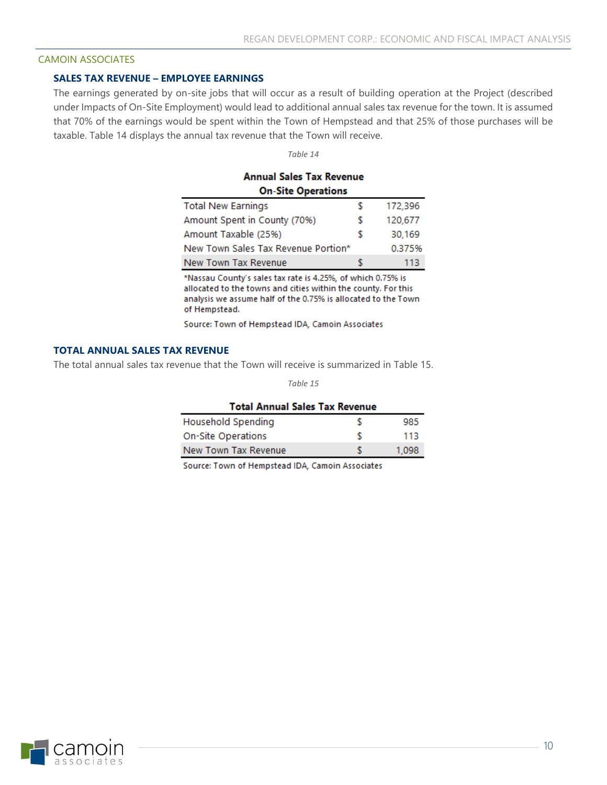#### **SALES TAX REVENUE – EMPLOYEE EARNINGS**

<span id="page-14-0"></span>The earnings generated by on-site jobs that will occur as a result of building operation at the Project (described under Impacts of On-Site Employment) would lead to additional annual sales tax revenue for the town. It is assumed that 70% of the earnings would be spent within the Town of Hempstead and that 25% of those purchases will be taxable. [Table 14](#page-14-0) displays the annual tax revenue that the Town will receive.

*Table 14*

## **Annual Sales Tax Revenue On-Site Operations**

| <b>Total New Earnings</b>           |   | 172,396 |
|-------------------------------------|---|---------|
| Amount Spent in County (70%)        | ж | 120,677 |
| Amount Taxable (25%)                |   | 30,169  |
| New Town Sales Tax Revenue Portion* |   | 0.375%  |
| New Town Tax Revenue                |   | 113     |

\*Nassau County's sales tax rate is 4.25%, of which 0.75% is allocated to the towns and cities within the county. For this analysis we assume half of the 0.75% is allocated to the Town of Hempstead.

Source: Town of Hempstead IDA, Camoin Associates

#### **TOTAL ANNUAL SALES TAX REVENUE**

<span id="page-14-1"></span>The total annual sales tax revenue that the Town will receive is summarized in [Table 15.](#page-14-1)

*Table 15*

| <b>Total Annual Sales Tax Revenue</b> |   |       |  |  |
|---------------------------------------|---|-------|--|--|
| Household Spending                    | S | 985   |  |  |
| <b>On-Site Operations</b>             | S | 113   |  |  |
| New Town Tax Revenue                  | S | 1.098 |  |  |

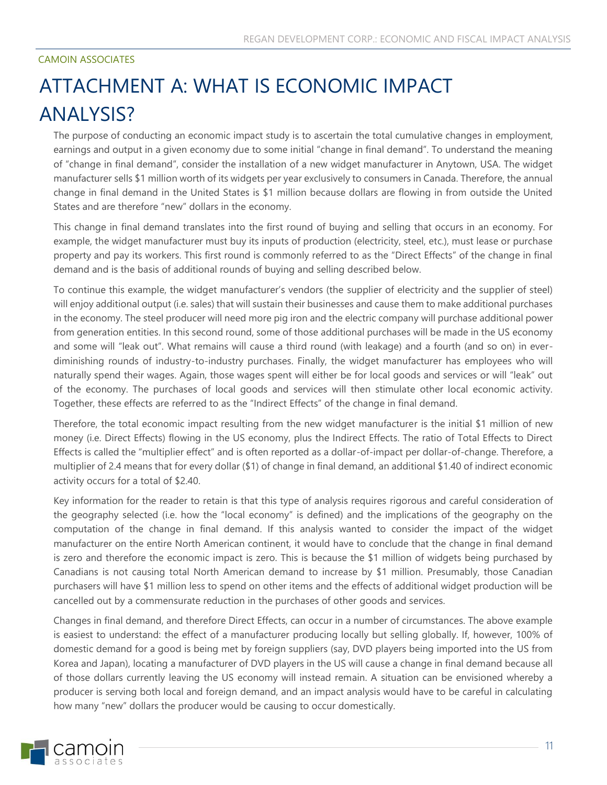## ATTACHMENT A: WHAT IS ECONOMIC IMPACT ANALYSIS?

The purpose of conducting an economic impact study is to ascertain the total cumulative changes in employment, earnings and output in a given economy due to some initial "change in final demand". To understand the meaning of "change in final demand", consider the installation of a new widget manufacturer in Anytown, USA. The widget manufacturer sells \$1 million worth of its widgets per year exclusively to consumers in Canada. Therefore, the annual change in final demand in the United States is \$1 million because dollars are flowing in from outside the United States and are therefore "new" dollars in the economy.

This change in final demand translates into the first round of buying and selling that occurs in an economy. For example, the widget manufacturer must buy its inputs of production (electricity, steel, etc.), must lease or purchase property and pay its workers. This first round is commonly referred to as the "Direct Effects" of the change in final demand and is the basis of additional rounds of buying and selling described below.

To continue this example, the widget manufacturer's vendors (the supplier of electricity and the supplier of steel) will enjoy additional output (i.e. sales) that will sustain their businesses and cause them to make additional purchases in the economy. The steel producer will need more pig iron and the electric company will purchase additional power from generation entities. In this second round, some of those additional purchases will be made in the US economy and some will "leak out". What remains will cause a third round (with leakage) and a fourth (and so on) in everdiminishing rounds of industry-to-industry purchases. Finally, the widget manufacturer has employees who will naturally spend their wages. Again, those wages spent will either be for local goods and services or will "leak" out of the economy. The purchases of local goods and services will then stimulate other local economic activity. Together, these effects are referred to as the "Indirect Effects" of the change in final demand.

Therefore, the total economic impact resulting from the new widget manufacturer is the initial \$1 million of new money (i.e. Direct Effects) flowing in the US economy, plus the Indirect Effects. The ratio of Total Effects to Direct Effects is called the "multiplier effect" and is often reported as a dollar-of-impact per dollar-of-change. Therefore, a multiplier of 2.4 means that for every dollar (\$1) of change in final demand, an additional \$1.40 of indirect economic activity occurs for a total of \$2.40.

Key information for the reader to retain is that this type of analysis requires rigorous and careful consideration of the geography selected (i.e. how the "local economy" is defined) and the implications of the geography on the computation of the change in final demand. If this analysis wanted to consider the impact of the widget manufacturer on the entire North American continent, it would have to conclude that the change in final demand is zero and therefore the economic impact is zero. This is because the \$1 million of widgets being purchased by Canadians is not causing total North American demand to increase by \$1 million. Presumably, those Canadian purchasers will have \$1 million less to spend on other items and the effects of additional widget production will be cancelled out by a commensurate reduction in the purchases of other goods and services.

Changes in final demand, and therefore Direct Effects, can occur in a number of circumstances. The above example is easiest to understand: the effect of a manufacturer producing locally but selling globally. If, however, 100% of domestic demand for a good is being met by foreign suppliers (say, DVD players being imported into the US from Korea and Japan), locating a manufacturer of DVD players in the US will cause a change in final demand because all of those dollars currently leaving the US economy will instead remain. A situation can be envisioned whereby a producer is serving both local and foreign demand, and an impact analysis would have to be careful in calculating how many "new" dollars the producer would be causing to occur domestically.

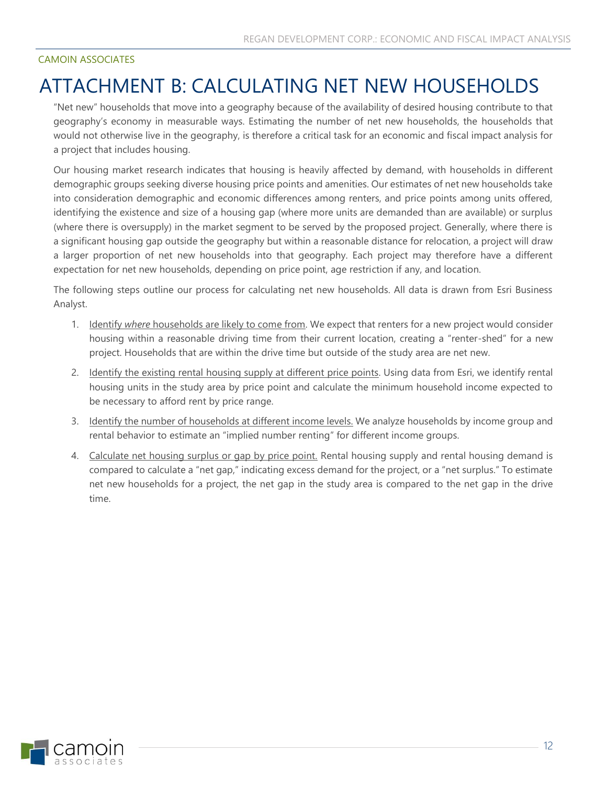## ATTACHMENT B: CALCULATING NET NEW HOUSEHOLDS

"Net new" households that move into a geography because of the availability of desired housing contribute to that geography's economy in measurable ways. Estimating the number of net new households, the households that would not otherwise live in the geography, is therefore a critical task for an economic and fiscal impact analysis for a project that includes housing.

Our housing market research indicates that housing is heavily affected by demand, with households in different demographic groups seeking diverse housing price points and amenities. Our estimates of net new households take into consideration demographic and economic differences among renters, and price points among units offered, identifying the existence and size of a housing gap (where more units are demanded than are available) or surplus (where there is oversupply) in the market segment to be served by the proposed project. Generally, where there is a significant housing gap outside the geography but within a reasonable distance for relocation, a project will draw a larger proportion of net new households into that geography. Each project may therefore have a different expectation for net new households, depending on price point, age restriction if any, and location.

The following steps outline our process for calculating net new households. All data is drawn from Esri Business Analyst.

- 1. Identify *where* households are likely to come from. We expect that renters for a new project would consider housing within a reasonable driving time from their current location, creating a "renter-shed" for a new project. Households that are within the drive time but outside of the study area are net new.
- 2. Identify the existing rental housing supply at different price points. Using data from Esri, we identify rental housing units in the study area by price point and calculate the minimum household income expected to be necessary to afford rent by price range.
- 3. Identify the number of households at different income levels. We analyze households by income group and rental behavior to estimate an "implied number renting" for different income groups.
- 4. Calculate net housing surplus or gap by price point. Rental housing supply and rental housing demand is compared to calculate a "net gap," indicating excess demand for the project, or a "net surplus." To estimate net new households for a project, the net gap in the study area is compared to the net gap in the drive time.

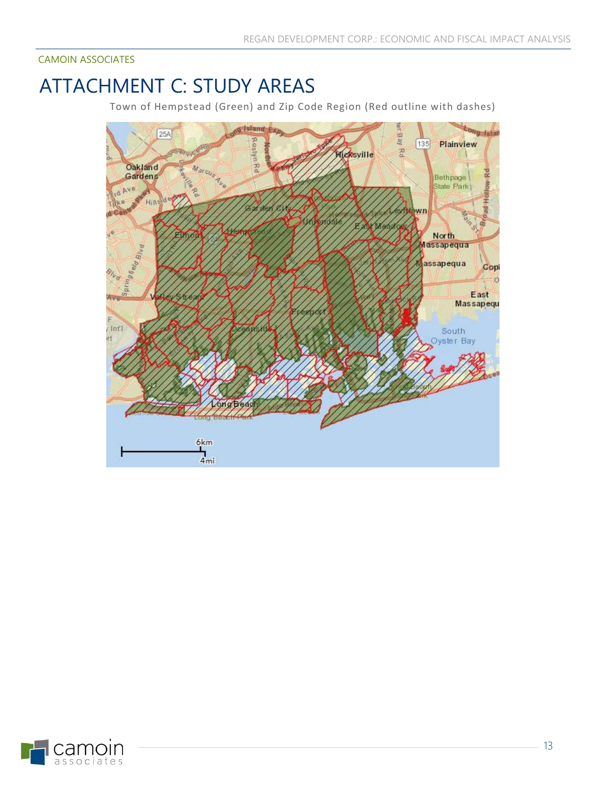## ATTACHMENT C: STUDY AREAS

Town of Hempstead (Green) and Zip Code Region (Red outline with dashes)